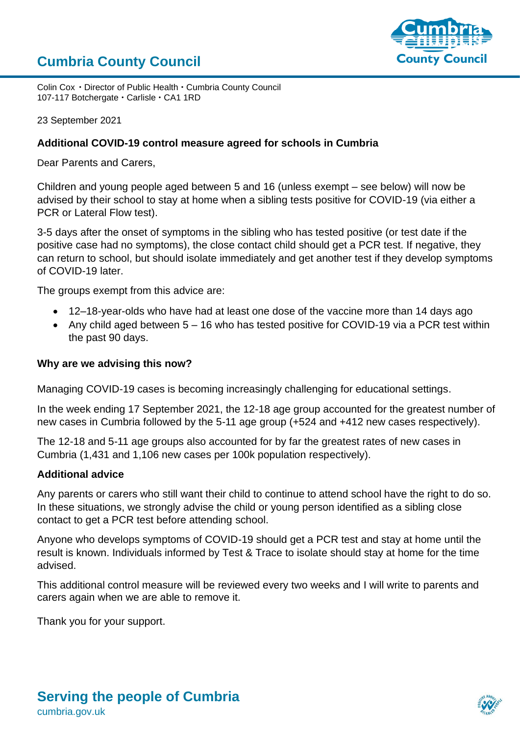## **Cumbria County Council**



Colin Cox • Director of Public Health • Cumbria County Council 107-117 Botchergate · Carlisle · CA1 1RD

23 September 2021

## **Additional COVID-19 control measure agreed for schools in Cumbria**

Dear Parents and Carers,

Children and young people aged between 5 and 16 (unless exempt – see below) will now be advised by their school to stay at home when a sibling tests positive for COVID-19 (via either a PCR or Lateral Flow test).

3-5 days after the onset of symptoms in the sibling who has tested positive (or test date if the positive case had no symptoms), the close contact child should get a PCR test. If negative, they can return to school, but should isolate immediately and get another test if they develop symptoms of COVID-19 later.

The groups exempt from this advice are:

- 12–18-year-olds who have had at least one dose of the vaccine more than 14 days ago
- Any child aged between 5 16 who has tested positive for COVID-19 via a PCR test within the past 90 days.

## **Why are we advising this now?**

Managing COVID-19 cases is becoming increasingly challenging for educational settings.

In the week ending 17 September 2021, the 12-18 age group accounted for the greatest number of new cases in Cumbria followed by the 5-11 age group (+524 and +412 new cases respectively).

The 12-18 and 5-11 age groups also accounted for by far the greatest rates of new cases in Cumbria (1,431 and 1,106 new cases per 100k population respectively).

## **Additional advice**

Any parents or carers who still want their child to continue to attend school have the right to do so. In these situations, we strongly advise the child or young person identified as a sibling close contact to get a PCR test before attending school.

Anyone who develops symptoms of COVID-19 should get a PCR test and stay at home until the result is known. Individuals informed by Test & Trace to isolate should stay at home for the time advised.

This additional control measure will be reviewed every two weeks and I will write to parents and carers again when we are able to remove it.

Thank you for your support.